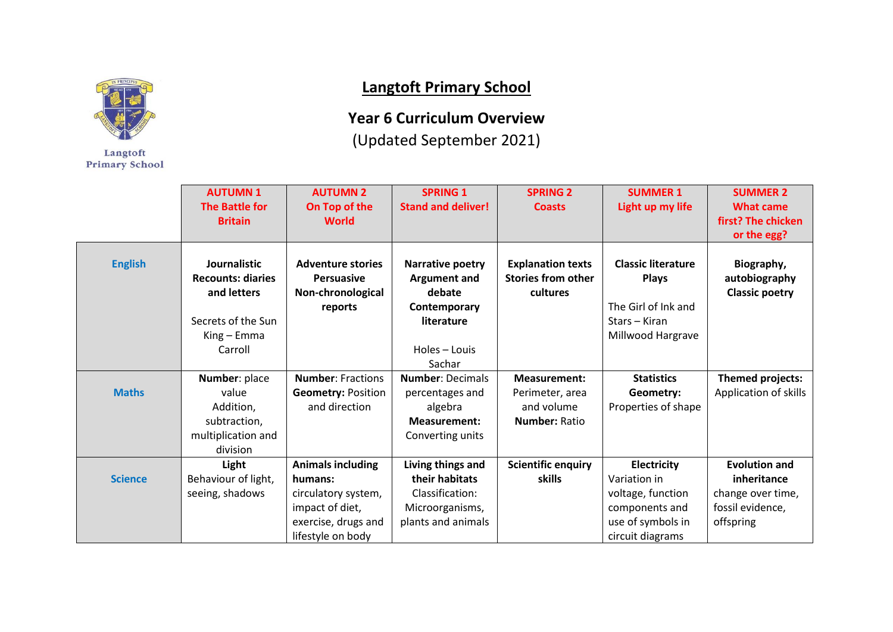

Langtoft **Primary School** 

## **Langtoft Primary School**

**Year 6 Curriculum Overview**

(Updated September 2021)

|                | <b>AUTUMN1</b><br><b>The Battle for</b><br><b>Britain</b>                                               | <b>AUTUMN 2</b><br>On Top of the<br><b>World</b>                                                                          | <b>SPRING 1</b><br><b>Stand and deliver!</b>                                                                      | <b>SPRING 2</b><br><b>Coasts</b>                                             | <b>SUMMER 1</b><br>Light up my life                                                                         | <b>SUMMER 2</b><br><b>What came</b><br>first? The chicken<br>or the egg?                  |
|----------------|---------------------------------------------------------------------------------------------------------|---------------------------------------------------------------------------------------------------------------------------|-------------------------------------------------------------------------------------------------------------------|------------------------------------------------------------------------------|-------------------------------------------------------------------------------------------------------------|-------------------------------------------------------------------------------------------|
| <b>English</b> | Journalistic<br><b>Recounts: diaries</b><br>and letters<br>Secrets of the Sun<br>King - Emma<br>Carroll | <b>Adventure stories</b><br><b>Persuasive</b><br>Non-chronological<br>reports                                             | <b>Narrative poetry</b><br><b>Argument and</b><br>debate<br>Contemporary<br>literature<br>Holes - Louis<br>Sachar | <b>Explanation texts</b><br><b>Stories from other</b><br>cultures            | <b>Classic literature</b><br><b>Plays</b><br>The Girl of Ink and<br>Stars - Kiran<br>Millwood Hargrave      | Biography,<br>autobiography<br><b>Classic poetry</b>                                      |
| <b>Maths</b>   | Number: place<br>value<br>Addition,<br>subtraction,<br>multiplication and<br>division                   | <b>Number: Fractions</b><br><b>Geometry: Position</b><br>and direction                                                    | <b>Number: Decimals</b><br>percentages and<br>algebra<br><b>Measurement:</b><br>Converting units                  | <b>Measurement:</b><br>Perimeter, area<br>and volume<br><b>Number: Ratio</b> | <b>Statistics</b><br>Geometry:<br>Properties of shape                                                       | Themed projects:<br>Application of skills                                                 |
| <b>Science</b> | Light<br>Behaviour of light,<br>seeing, shadows                                                         | <b>Animals including</b><br>humans:<br>circulatory system,<br>impact of diet,<br>exercise, drugs and<br>lifestyle on body | Living things and<br>their habitats<br>Classification:<br>Microorganisms,<br>plants and animals                   | <b>Scientific enquiry</b><br>skills                                          | Electricity<br>Variation in<br>voltage, function<br>components and<br>use of symbols in<br>circuit diagrams | <b>Evolution and</b><br>inheritance<br>change over time,<br>fossil evidence,<br>offspring |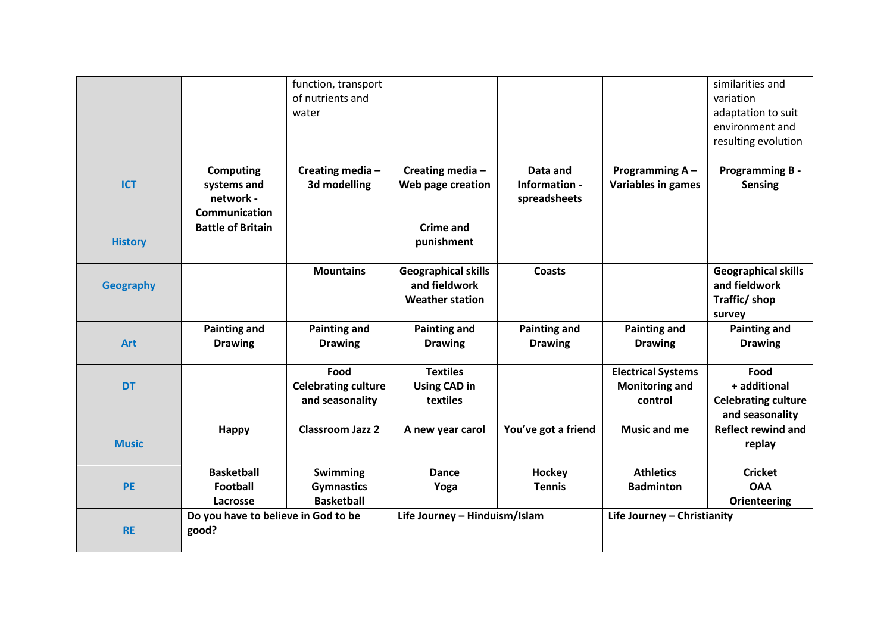|                  |                                                               | function, transport<br>of nutrients and<br>water      |                                                                       |                                           |                                                               | similarities and<br>variation<br>adaptation to suit<br>environment and<br>resulting evolution |
|------------------|---------------------------------------------------------------|-------------------------------------------------------|-----------------------------------------------------------------------|-------------------------------------------|---------------------------------------------------------------|-----------------------------------------------------------------------------------------------|
| <b>ICT</b>       | <b>Computing</b><br>systems and<br>network -<br>Communication | Creating media-<br>3d modelling                       | Creating media-<br>Web page creation                                  | Data and<br>Information -<br>spreadsheets | Programming A-<br><b>Variables in games</b>                   | <b>Programming B -</b><br><b>Sensing</b>                                                      |
| <b>History</b>   | <b>Battle of Britain</b>                                      |                                                       | <b>Crime and</b><br>punishment                                        |                                           |                                                               |                                                                                               |
| <b>Geography</b> |                                                               | <b>Mountains</b>                                      | <b>Geographical skills</b><br>and fieldwork<br><b>Weather station</b> | <b>Coasts</b>                             |                                                               | <b>Geographical skills</b><br>and fieldwork<br>Traffic/shop<br>survey                         |
| <b>Art</b>       | <b>Painting and</b><br><b>Drawing</b>                         | <b>Painting and</b><br><b>Drawing</b>                 | <b>Painting and</b><br><b>Drawing</b>                                 | <b>Painting and</b><br><b>Drawing</b>     | <b>Painting and</b><br><b>Drawing</b>                         | <b>Painting and</b><br><b>Drawing</b>                                                         |
| <b>DT</b>        |                                                               | Food<br><b>Celebrating culture</b><br>and seasonality | <b>Textiles</b><br><b>Using CAD in</b><br>textiles                    |                                           | <b>Electrical Systems</b><br><b>Monitoring and</b><br>control | Food<br>+ additional<br><b>Celebrating culture</b><br>and seasonality                         |
| <b>Music</b>     | Happy                                                         | <b>Classroom Jazz 2</b>                               | A new year carol                                                      | You've got a friend                       | Music and me                                                  | <b>Reflect rewind and</b><br>replay                                                           |
| <b>PE</b>        | <b>Basketball</b><br>Football<br>Lacrosse                     | Swimming<br><b>Gymnastics</b><br><b>Basketball</b>    | Dance<br>Yoga                                                         | Hockey<br><b>Tennis</b>                   | <b>Athletics</b><br><b>Badminton</b>                          | <b>Cricket</b><br><b>OAA</b><br>Orienteering                                                  |
| <b>RE</b>        | Do you have to believe in God to be<br>good?                  |                                                       | Life Journey - Hinduism/Islam                                         |                                           | Life Journey - Christianity                                   |                                                                                               |